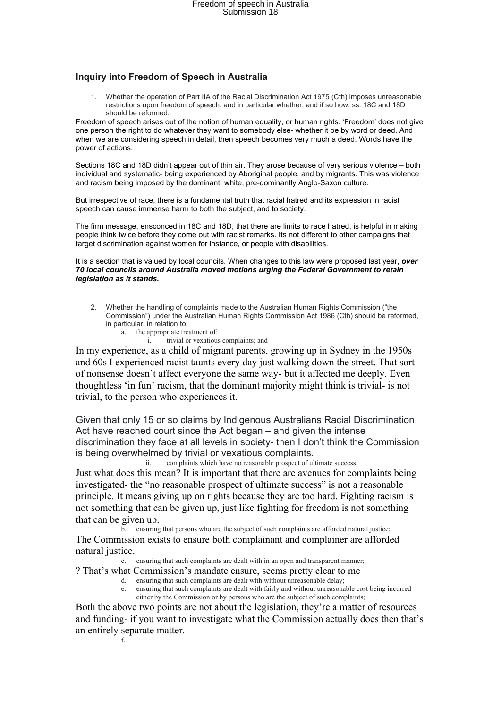## **Inquiry into Freedom of Speech in Australia**

1. Whether the operation of Part IIA of the Racial Discrimination Act 1975 (Cth) imposes unreasonable restrictions upon freedom of speech, and in particular whether, and if so how, ss. 18C and 18D should be reformed.

Freedom of speech arises out of the notion of human equality, or human rights. 'Freedom' does not give one person the right to do whatever they want to somebody else- whether it be by word or deed. And when we are considering speech in detail, then speech becomes very much a deed. Words have the power of actions.

Sections 18C and 18D didn't appear out of thin air. They arose because of very serious violence – both individual and systematic- being experienced by Aboriginal people, and by migrants. This was violence and racism being imposed by the dominant, white, pre-dominantly Anglo-Saxon culture.

But irrespective of race, there is a fundamental truth that racial hatred and its expression in racist speech can cause immense harm to both the subject, and to society.

The firm message, ensconced in 18C and 18D, that there are limits to race hatred, is helpful in making people think twice before they come out with racist remarks. Its not different to other campaigns that target discrimination against women for instance, or people with disabilities.

It is a section that is valued by local councils. When changes to this law were proposed last year, **over** *70 local councils around Australia moved motions urging the Federal Government to retain legislation as it stands.*

- 2. Whether the handling of complaints made to the Australian Human Rights Commission ("the Commission") under the Australian Human Rights Commission Act 1986 (Cth) should be reformed, in particular, in relation to:
	- a. the appropriate treatment of:
		- trivial or vexatious complaints; and

In my experience, as a child of migrant parents, growing up in Sydney in the 1950s and 60s I experienced racist taunts every day just walking down the street. That sort of nonsense doesn't affect everyone the same way- but it affected me deeply. Even thoughtless 'in fun' racism, that the dominant majority might think is trivial- is not trivial, to the person who experiences it.

Given that only 15 or so claims by Indigenous Australians Racial Discrimination Act have reached court since the Act began – and given the intense discrimination they face at all levels in society- then I don't think the Commission is being overwhelmed by trivial or vexatious complaints.

ii. complaints which have no reasonable prospect of ultimate success; Just what does this mean? It is important that there are avenues for complaints being investigated- the "no reasonable prospect of ultimate success" is not a reasonable

principle. It means giving up on rights because they are too hard. Fighting racism is not something that can be given up, just like fighting for freedom is not something that can be given up.

b. ensuring that persons who are the subject of such complaints are afforded natural justice; The Commission exists to ensure both complainant and complainer are afforded natural justice.

c. ensuring that such complaints are dealt with in an open and transparent manner;

- ? That's what Commission's mandate ensure, seems pretty clear to me
	- d. ensuring that such complaints are dealt with without unreasonable delay;
		- ensuring that such complaints are dealt with fairly and without unreasonable cost being incurred either by the Commission or by persons who are the subject of such complaints;

Both the above two points are not about the legislation, they're a matter of resources and funding- if you want to investigate what the Commission actually does then that's an entirely separate matter.